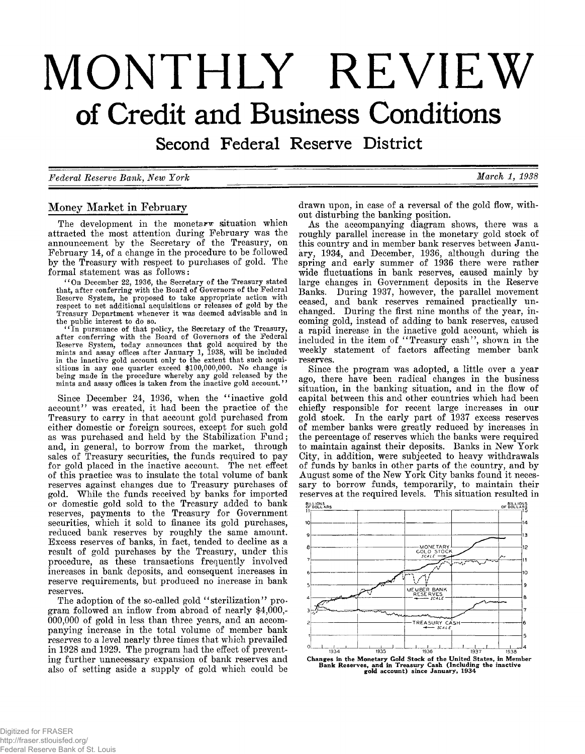# **MONTHLY REVIEW of Credit and Business Conditions**

Second Federal Reserve District

*Federal Reserve Bank, New York* M arch 1, 1938

# Money Market in February

The development in the monetarw situation which<br>attracted the most attention during February was the<br>announcement by the Secretary of the Treasury, on<br>February 14, of a change in the procedure to be followed<br>by the Treasur formal statement was as follows:

" On December 22, 1936, the Secretary of the Treasury stated that, after conferring with the Board of Governors of the Federal Reserve System, he proposed to take appropriate action with respect to net additional acquisitions or releases of gold by the Treasury Department whenever it was deemed advisable and in

the public interest to do so. " In pursuance of that policy, the Secretary of the Treasury, after conferring with the Board of Governors of the Federal Reserve System, today announces that gold acquired by the mints and assay offices after January 1, 1938, will be included in the inactive gold account only to the extent that such acquisitions in any one quarter exceed \$100,000,000. No change is being made in the procedure whereby any gold released by the mints and assay offices is taken from the inactive gold account. *' 1*

Since December 24, 1936, when the "inactive gold account" was created, it had been the practice of the Treasury to carry in that account gold purchased from either domestic or foreign sources, except for such gold as was p reserve requirements, but produced no increase in bank reserves.

The adoption of the so-called gold " sterilization" program followed an inflow from abroad of nearly \$4,000,-000,000 of gold in less than three years, and an accompanying increase in the total volume of member bank reserves to a level nearly three times that which prevailed<br>in 1928 and 1929. The program had the effect of preventing further unnecessary expansion of bank reserves and also of setting aside a supply of gold which could be

drawn upon, in case of a reversal of the gold flow, with-<br>out disturbing the banking position.<br>As the accompanying diagram shows, there was a<br>roughly parallel increase in the monetary gold stock of<br>this country and in memb

reserves.<br>
Since the program was adopted, a little over a year<br>
ago, there have been radical changes in the business<br>
situation, in the banking situation, and in the flow of<br>
capital between this and other countries which



**Changes in the Monetary Gold Stock of the United States, in Member Bank Reserves, and in Treasury Cash (Including the inactive gold account) since January, 1934**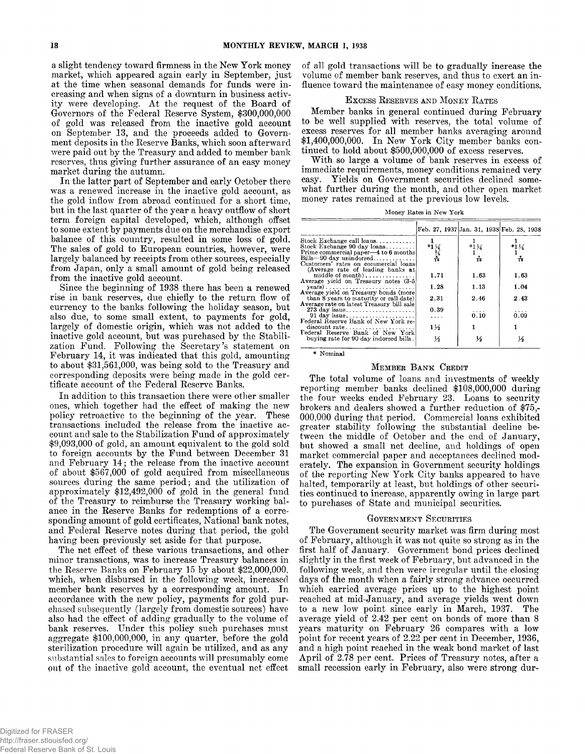a slight tendency toward firmness in the New York money market, which appeared again early in September, just the time when seasonal demands for funds were increasing and when signs of a downturn in business activity were

to about \$31,561,000, was being sold to the Treasury and corresponding deposits were being made in the gold certificate account of the Federal Reserve Banks.

In addition to this transaction there were other smaller<br>ones, which together had the effect of making the new<br>policy retroactive to the beginning of the year. These<br>transactions included the release from the inactive ac-

minor transactions, was to increase Treasury balances in the Reserve Banks on February 15 by about \$22,000,000, which, when disbursed in the following week, increased member bank reserves by a corresponding amount. In acco also had the effect of adding gradually to the volume of bank reserves. Under this policy such purchases must aggregate \$100,000,000, in any quarter, before the gold sterilization procedure will again be utilized, and as any substantial sales to foreign accounts will presum ably come out of the inactive gold account, the eventual net effect of all gold transactions will be to gradually increase the volume of member bank reserves, and thus to exert an in fluence tow ard the m aintenance of easy money conditions.

#### EXCESS RESERVES AND MONEY RATES

Member banks in general continued during February<br>to be well supplied with reserves, the total volume of<br>excess reserves for all member banks averaging around<br>\$1,400,000,000. In New York City member banks con-<br>tinued to ho

**Money Rates in New York**

|                                                                  |                            |                 | Feb. 27, 1937 Jan. 31, 1938 Feb. 28, 1938 |
|------------------------------------------------------------------|----------------------------|-----------------|-------------------------------------------|
| Stock Exchange call loans                                        |                            |                 |                                           |
| Stock Exchange 90 day loans                                      | $*1\frac{1}{3}\frac{1}{4}$ | $*1\frac{1}{4}$ | $*1\frac{1}{4}$                           |
| Prime commercial paper—4 to 6 months                             |                            |                 |                                           |
| Bills-90 day unindorsed                                          |                            | ÷               | ÷                                         |
| Customers' rates on commercial loans                             |                            |                 |                                           |
| (Average rate of leading banks at                                |                            |                 |                                           |
| middle of $month$ ,                                              | 1.71                       | 1.63            | 1.63                                      |
| Average yield on Treasury notes (3-5)                            |                            |                 |                                           |
| $years) \ldots \ldots \ldots \ldots \ldots \ldots \ldots \ldots$ | 1.28                       | 1.13            | 1.04                                      |
| Average vield on Treasury bonds (more                            |                            |                 |                                           |
| than 8 years to maturity or call date)                           | 2.31                       | 2.46            | 2.43                                      |
| Average rate on latest Treasury bill sale                        |                            |                 |                                           |
| $273$ day issue                                                  | 0.39                       | $\cdots$        | .                                         |
|                                                                  | $\cdots$                   | 0.10            | 0.09                                      |
| Federal Reserve Bank of New York re-                             |                            |                 |                                           |
| discount rate                                                    | 1½                         |                 |                                           |
| Federal Reserve Bank of New York                                 |                            |                 |                                           |
| buying rate for 90 day indorsed bills.                           | ⅓                          |                 | ⅓                                         |
|                                                                  |                            |                 |                                           |

**\* Nominal**

#### MEMBER BANK CREDIT

The total volume of loans and investments of weekly<br>reporting member banks declined \$108,000,000 during<br>the four weeks ended February 23. Loans to security<br>brokers and dealers showed a further reduction of \$75,-<br>000,000 du

#### GOVERNMENT SECURITIES

The Government security market was firm during most of February, although it was not quite so strong as in the first half of January. Government bond prices declined slightly in the first week of February, but advanced in the following week, and then were irregular until the closing days of the month when a fairly strong advance occurred which carried average prices up to the highest point reached at mid-January, and average yields went down to a new low point since early in March, 1937. The average yield of 2.42 per cent on bonds of more than 8 years maturity on February 26 compares with a low point for recent years of 2.22 per cent in December, 1936, and a high point reached in the weak bond market of last April of 2.78 per cent. Prices of Treasury notes, after a small recession early in February, also were str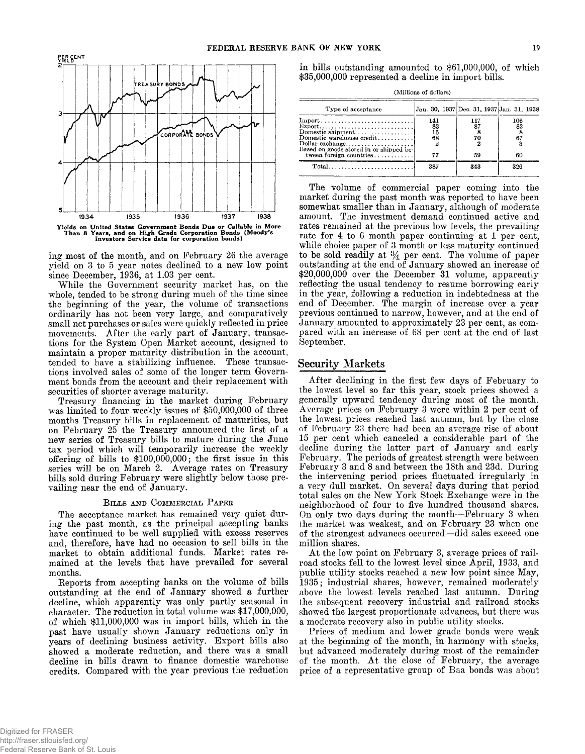

ing most of the month, and on February 26 the average<br>yield on 3 to 5 year notes declined to a new low point<br>since December, 1936, at 1.03 per cent.<br>While the Government security market has, on the<br>whole, tended to be stro

movement and peak in the system Open Market account, designed to maintain a proper maturity distribution in the account, tended to have a stabilizing influence. These transactions involved sales of some of the longer term

#### BILLS AND COMMERCIAL PAPER

The acceptance market has remained very quiet during the past month, as the principal accepting banks have continued to be well supplied with excess reserves and, therefore, have had no occasion to sell bills in the market mained at the levels that have prevailed for several

months.<br>Reports from accepting banks on the volume of bills<br>outstanding at the end of January showed a further<br>decline, which apparently was only partly seasonal in<br>character. The reduction in total volume was \$17,000,000, of which \$11,000,000 was in import bills, which in the past have usually shown January reductions only in years of declining business activity. Export bills also showed a moderate reduction, and there was a small decline in bills drawn to finance domestic warehouse credits. Compared with the year previous the reduction in bills outstanding amounted to \$61,000,000, of which \$35,000,000 represented a decline in import bills.

| Type of acceptance                                                                                 |                              | Jan. 30, 1937 Dec. 31, 1937 Jan. 31, 1938 |                          |
|----------------------------------------------------------------------------------------------------|------------------------------|-------------------------------------------|--------------------------|
| $\text{Export} \dots \dots \dots \dots \dots \dots \dots \dots \dots$<br>Domestic warehouse credit | 141<br>83<br>$\frac{16}{68}$ | 117<br>70                                 | 106<br>82<br>$^{8}_{67}$ |
| tween foreign countries<br>$Total \dots \dots \dots \dots \dots \dots \dots \dots \dots$           | 77<br>387                    | 59<br>343                                 | 60<br>326                |

The volume of commercial paper coming into the<br>market during the past month was reported to have been<br>somewhat smaller than in January, although of moderate<br>amount. The investment demand continued active and<br>rates remaine

#### Security Markets

After declining in the first few days of February to<br>the lowest level so far this year, stock prices showed a<br>generally upward tendency during most of the month.<br>Average prices on February 3 were within 2 per cent of<br>the l February. The periods of greatest strength were between<br>February. The periods of greatest strength were between<br>February 3 and 8 and between the 18th and 23d. During<br>the intervening period prices fluctuated irregularly in<br>

showed the largest proportionate advances, but there was<br>a moderate recovery also in public utility stocks.<br>Prices of medium and lower grade bonds were weak

at the beginning of the month, in harmony with stocks, but advanced moderately during most of the remainder of the month. At the close of February, the average price of a representative group of Baa bonds was about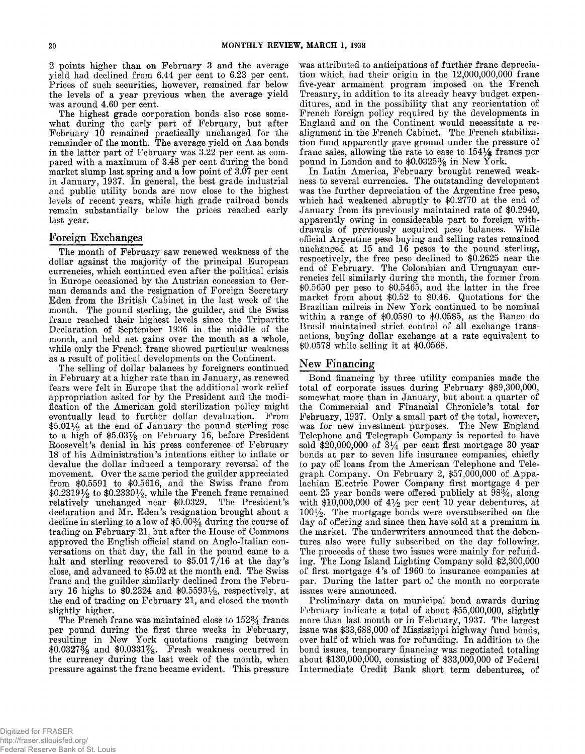2 points higher than on February 3 and the average<br>yield had declined from 6.44 per cent to 6.23 per cent.<br>Prices of such securities, however, remained far below<br>the levels of a year previous when the average yield<br>was ar last year.

### Foreign Exchanges

The month of February saw renewed weakness of the<br>dollar against the majority of the principal European<br>currencies, which continued even after the political crisis<br>in Europe occasioned by the Austrian concession to Ger-<br>ma

The selling of dollar balances by foreigners continued<br>in February at a higher rate than in January, as renewed<br>fears were felt in Europe that the additional work relief<br>appropriation asked for by the President and the mo trading on February 21, but after the House of Commons<br>approved the English official stand on Anglo-Italian con-<br>versations on that day, the fall in the pound came to a<br>halt and sterling recovered to  $$5.017/16$  at the da close, and advanced to \$5.02 at the month end. The Swiss franc and the guilder similarly declined from the February 16 highs to \$0.2324 and \$0.5593 $\frac{1}{2}$ , respectively, at the end of trading on February 21, and closed the month

slightly higher.<br>The French franc was maintained close to  $152\frac{3}{4}$  francs<br>per pound during the first three weeks in February,<br>resulting in New York quotations ranging between<br>\$0.0327% and \$0.0331%. Fresh weakness occu the currency during the last week of the month, when pressure against the franc became evident. This pressure was attributed to anticipations of further franc depreciation which had their origin in the 12,000,000,000 franc<br>five-year armament program imposed on the French<br>Treasury, in addition to its already heavy budget expen-<br>dit

ditures, and in the possibility that any reorientation of<br>French foreign policy required by the developments in<br>England and on the Continent would necessitate a re-<br>alignment in the French Cabinet. The French stabiliza-<br>t

# New Financing

Bond financing by three utility companies made the total of corporate issues during February \$89,300,000, somewhat more than in January, but about a quarter of the Commercial and Financial Chronicle's total for February, 1937. Only a small part of the total, however,<br>was for new investment purposes. The New England<br>Telephone and Telegraph Company is reported to have<br>sold \$20,000,000 of 3<sup>1</sup>/4 per cent first mortgage 30 year<br>bond day of offering and since then have sold at a premium in the market. The underwriters announced that the debentures also were fully subscribed on the day following.<br>The proceeds of these two issues were mainly for refunding. The Long Island Lighting Company sold \$2,300,000 of first mortgage 4's of 1960 to insurance companies at

par. During the latter part of the month no corporate<br>issues were announced.<br>Preliminary data on municipal bond awards during<br>February indicate a total of about \$55,000,000, slightly<br>more than last month or in February, 19 bond issues, temporary financing was negotiated totaling about \$130,000,000, consisting of \$33,000,000 of Federal Intermediate Credit Bank short term debentures, of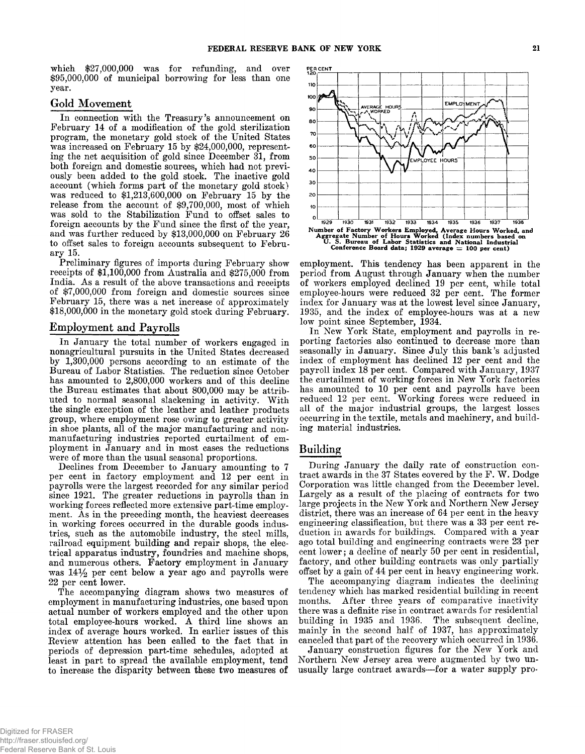which  $$27,000,000$  was for refunding, and over  $$95,000,000$  of municipal borrowing for less than one year.

## Gold Movement

In connection with the Treasury's announcement on<br>February 14 of a modification of the gold sterilization<br>program, the monetary gold stock of the United States<br>was increased on February 15 by \$24,000,000, represent-<br>ing th ously been added to the gold stock. The inactive gold<br>account (which forms part of the monetary gold stock)<br>was reduced to \$1,213,600,000 on February 15 by the<br>release from the account of \$9,700,000, most of which<br>was sold

receipts of  $$1,100,000$  from Australia and  $$275,000$  from<br>India. As a result of the above transactions and receipts<br>of  $$7,000,000$  from foreign and domestic sources since<br>February 15, there was a net increase of approx

### Employment and Payrolls

In January the total number of workers engaged in<br>nonagricultural pursuits in the United States decreased<br>by 1,300,000 persons according to an estimate of the<br>Bureau of Labor Statistics. The reduction since October<br>has am

trical apparatus industry, foundries and machine shops, and numerous others. Factory employment in January was  $14\frac{1}{2}$  per cent below a year ago and payrolls were 22 per cent lower.

The accompanying diagram shows two measures of employment in manufacturing industries, one based upon actual number of workers employed and the other upon total employee-hours worked. A third line shows an index of average to increase the disparity between these two measures of



employment. This tendency has been apparent in the<br>period from August through January when the number<br>of workers employed declined 19 per cent, while total<br>employee-hours were reduced 32 per cent. The former<br>index for Janu occurring in the textile, metals and machinery, and building material industries.

## **B u ild in g**

During January the daily rate of construction con-<br>tract awards in the 37 States covered by the F. W. Dodge<br>Corporation was little changed from the December level.<br>Largely as a result of the placing of contracts for two<br>la cent lower; a decline of nearly 50 per cent in residential, factory, and other building contracts was only partially offset by a gain of 44 per cent in heavy engineering work. The accompanying diagram indicates the declini

months. After three years of comparative inactivity<br>there was a definite rise in contract awards for residential<br>building in 1935 and 1936. The subsequent decline,<br>mainly in the second half of 1937, has approximately<br>cance

Northern New Jersey area were augmented by two unusually large contract awards—for a water supply pro-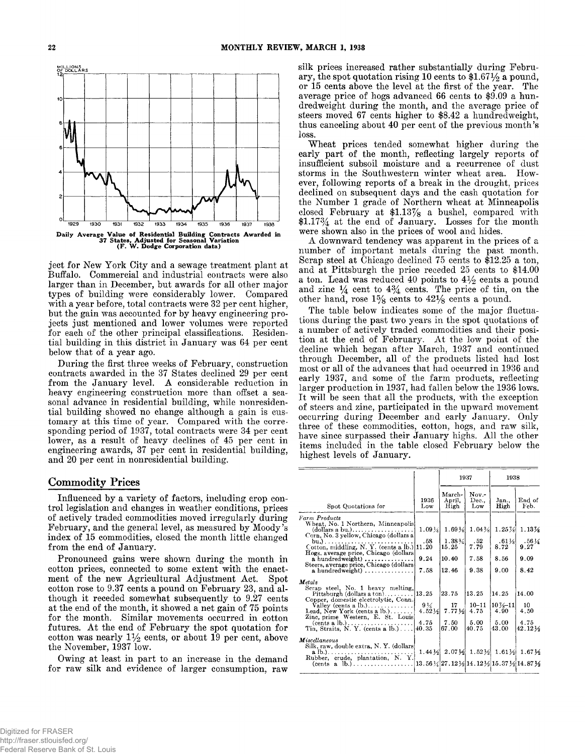

ject for New York City and a sewage treatment plant at Buffalo. Commercial and industrial contracts were also larger than in December, but awards for all other major types of building were considerably lower. Compared with for each of the other principal classifications. Residential building in this district in January was 64 per cent below that of a year ago.

During the first three weeks of February, construction<br>contracts awarded in the 37 States declined 29 per cent<br>from the January level. A considerable reduction in<br>heavy engineering construction more than offset a sea-<br>sona

## Commodity Prices

Influenced by a variety of factors, including crop control legislation and changes in weather conditions, prices of actively traded commodities moved irregularly during February, and the general level, as measured by Moody's index of 15 commodities, closed the month little changed from the end of January.

Pronounced gains were shown during the month in cotton prices, connected to some extent with the enact-<br>ment of the new Agricultural Adjustment Act. Spot cotton rose to 9.37 cents a pound on February 23, and although it receded somewhat subsequently to 9.27 cents at the end of the month, it showed a net gain of 75 points for the month. Similar movements occurred in cotton f cotton was nearly  $1\frac{1}{2}$  cents, or about 19 per cent, above the November, 1937 low.

Owing at least in part to an increase in the demand for raw silk and evidence of larger consumption, raw

silk prices increased rather substantially during February, the spot quotation rising 10 cents to \$1.671/2 a pound, or 15 cents above the level at the first of the year. The average price of hogs advanced 66 cents to \$9.0

The table below indicates some of the major fluctua-<br>tions during the past two years in the spot quotations of<br>a number of actively traded commodities and their posi-<br>tion at the end of February. At the low point of the<br>de

|                                                                                                                                                                                                                                                                                                                                                  | 1938<br>1937                            |                                                                                                                                                                                                       |                                                     |                                                                |                                                |
|--------------------------------------------------------------------------------------------------------------------------------------------------------------------------------------------------------------------------------------------------------------------------------------------------------------------------------------------------|-----------------------------------------|-------------------------------------------------------------------------------------------------------------------------------------------------------------------------------------------------------|-----------------------------------------------------|----------------------------------------------------------------|------------------------------------------------|
| Spot Quotations for                                                                                                                                                                                                                                                                                                                              | 1936<br>Low                             | March-<br>April.<br>High                                                                                                                                                                              | Now.<br>Dec<br>Low                                  | Jan.,<br>High                                                  | End of<br>Feb.                                 |
| Farm Products<br>Wheat, No. 1 Northern, Minneapolis!<br>$\left(\text{dollars a bu.}\right), \ldots, \ldots, \ldots, \ldots, \ldots$<br>Corn, No. 3 yellow, Chicago (dollars a<br>$bu.$ )<br>Cotton, middling, N.Y. (cents a lb.) 11.20<br>Hogs. average price, Chicago (dollars)<br>a hundredweight)<br>Steers, average price, Chicago (dollars) | $1.09\%$<br>.58<br>9.24                 | 1.69%<br>$1.38\%$<br>15.25<br>10.40                                                                                                                                                                   | $1.04\%$<br>.52<br>7.79<br>7.58                     | $1.25\%$<br>$.61\%$<br>8.72<br>8.56                            | 1.13%<br>$.56\,\frac{1}{4}$<br>9.27<br>9.09    |
| $a$ hundredweight) $\ldots$ , $\ldots$<br>Metals<br>Serap steel, No. 1 heavy melting,<br>Copper, domestic electrolytic, Conn.<br>Valley (cents a $lb.$ )<br>Lead, New York (cents a $\mathbf{b}$<br>Zinc, prime Western, E. St. Louis<br>$(cents \, a \, lb.) \ldots \ldots \ldots \ldots \ldots$<br>Tin, Straits, N. Y. (cents a lb.) 40.35     | 7.58<br>$9\frac{1}{4}$<br>4.52%<br>4.75 | 12.46<br>23.75<br>17<br>$7.77\frac{1}{2}$<br>7.50<br>67.00                                                                                                                                            | 9.38<br>13.25<br>$10 - 11$<br>4.75<br>5.00<br>40.75 | 9.00<br>14.25<br>$10\frac{7}{8} - 11$<br>4.90<br>5.00<br>43.00 | 8.42<br>14.00<br>10.<br>4.50<br>4.75<br>42.12½ |
| Miscellaneous<br>Silk, raw, double extra, N.Y. (dollars)<br>$a$ lb.)<br>Rubber, crude, plantation, N. Y.<br>$(cents \ a \ lb.) \ldots \ldots \ldots \ldots$                                                                                                                                                                                      |                                         | $1.44\frac{1}{2}$ $2.07\frac{1}{2}$ $1.52\frac{1}{2}$ $1.61\frac{1}{2}$ $1.67\frac{1}{2}$<br>$13.56\frac{1}{4}$ 27 . $12\frac{1}{2}$ 14 . $12\frac{1}{2}$ 15 . 37 $\frac{1}{2}$ 14 . 87 $\frac{1}{2}$ |                                                     |                                                                |                                                |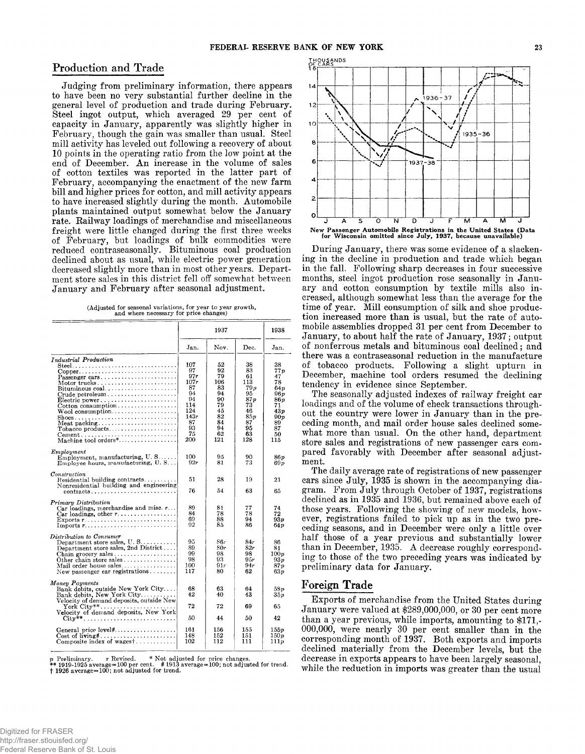## **Production and Trade**

Judging from preliminary information, there appears<br>to have been no very substantial further decline in the<br>general level of production and trade during February.<br>Steel ingot output, which averaged 29 per cent of<br>capacity February, though the gain was smaller than usual. Steel<br>February, though the gain was smaller than usual. Steel<br>mill activity has leveled out following a recovery of about<br>10 points in the operating ratio from the low poin

**(Adjusted for seasonal variations, for year to year growth, and where necessary for price changes)**

|                                                                                                                                                                                                                                                                       | 1937                                                                                      |                                                                                    |                                                                                        | 1938                                                                                         |
|-----------------------------------------------------------------------------------------------------------------------------------------------------------------------------------------------------------------------------------------------------------------------|-------------------------------------------------------------------------------------------|------------------------------------------------------------------------------------|----------------------------------------------------------------------------------------|----------------------------------------------------------------------------------------------|
|                                                                                                                                                                                                                                                                       | Jan.                                                                                      | Nov.                                                                               | Dec.                                                                                   | Jan.                                                                                         |
| Industrial Production<br>$Copper \ldots \ldots \ldots \ldots \ldots \ldots \ldots \ldots$<br>Passenger cars<br>Motor trucks<br>Bituminous coal<br>Crude petroleum<br>Electric power<br>$Wood$ consumption<br>Meat packing<br>Tobacco products<br>Machine tool orders* | 107<br>97<br>97r<br>107r<br>87<br>94<br>94<br>114<br>124<br>143r<br>87<br>93<br>75<br>200 | 52<br>92<br>79<br>106<br>83<br>94<br>90<br>79<br>45<br>82<br>84<br>94<br>62<br>121 | 38<br>83<br>61<br>113<br>79 p<br>95<br>87p<br>73<br>46<br>859<br>87<br>95<br>63<br>128 | 38<br>77 p<br>47<br>78<br>64p<br>96 p<br>86 v<br>71<br>43 p<br>90 p<br>89<br>87<br>50<br>115 |
| Employment<br>Employment, manufacturing, $U, S, \ldots$ .<br>Employee hours, manufacturing, U.S                                                                                                                                                                       | 100<br>92r                                                                                | 95<br>81                                                                           | 90<br>73                                                                               | 86 p<br>69 p                                                                                 |
| $\emph{Constant}$<br>Residential building contracts<br>Nonresidential building and engineering<br>$contracts \ldots \ldots \ldots \ldots \ldots$                                                                                                                      | 51<br>76                                                                                  | 28<br>54                                                                           | 19<br>63                                                                               | 21<br>65                                                                                     |
| Primary Distribution<br>Car loadings, merchandise and misc. $r \dots$<br>Car loadings, other $r$<br>Exports $r$<br>Imports $r$                                                                                                                                        | 89<br>84<br>69<br>92                                                                      | 81<br>78<br>88<br>85                                                               | 77<br>78<br>94<br>86                                                                   | 74<br>72<br>93 v<br>64 p                                                                     |
| Distribution to Consumer<br>Department store sales, $U, S, \ldots, \ldots$<br>Department store sales, 2nd District<br>Chain grocery sales<br>Other chain store sales<br>Mail order house sales<br>New passenger car registrations                                     | 95<br>89<br>99<br>98<br>100<br>117                                                        | 86r<br>80r<br>98<br>93<br>91r<br>80                                                | 84r<br>82r<br>98<br>9.5r<br>94r<br>62                                                  | 86<br>81<br>100p<br>93p<br>87 p<br>63 v                                                      |
| Money Payments<br>Bank debits, outside New York City<br>Bank debits, New York City<br>Velocity of demand deposits, outside New<br>$\operatorname{York}$ City** $\dots\dots\dots\dots\dots\dots\dots$                                                                  | 68<br>42<br>72                                                                            | 63<br>40<br>72                                                                     | 64<br>43<br>69                                                                         | 58p<br>$_{35p}$<br>65                                                                        |
| Velocity of demand deposits, New York<br>$City**$                                                                                                                                                                                                                     | 50                                                                                        | 44                                                                                 | 50                                                                                     | 42                                                                                           |
| General price level#<br>Composite index of wagest                                                                                                                                                                                                                     | 161<br>148<br>102                                                                         | 156<br>152<br>112                                                                  | 155<br>151<br>111                                                                      | 155p<br>150 p<br>111 <i>p</i>                                                                |

*p* **Preliminary. r Revised. \* Not adjusted for price changes. \*\* 1919-1925 average=100 per cent. # 1913 average=100; not adjusted for trend, t 1926 average=100; not adjusted for trend.**



During January, there was some evidence of a slacken-<br>ing in the decline in production and trade which began<br>in the fall. Following sharp decreases in four successive<br>months, steel ingot production rose seasonally in Janua

pared favorably with December after seasonal adjust-<br>ment.<br>The daily average rate of registrations of new passenger<br>cars since July, 1935 is shown in the accompanying dia-<br>gram. From July through October of 1937, registrat ing to those of the two preceding years was indicated by preliminary data for January.

# Foreign Trade

Exports of merchandise from the United States during January were valued at \$289,000,000, or 30 per cent more than a year previous, while imports, amounting to \$171,- $000,000$ , were nearly 30 per cent smaller than in the corresponding month of 1937. Both exports and imports declined materially from the December levels, but the decrease in exports appears to have been largely seasonal,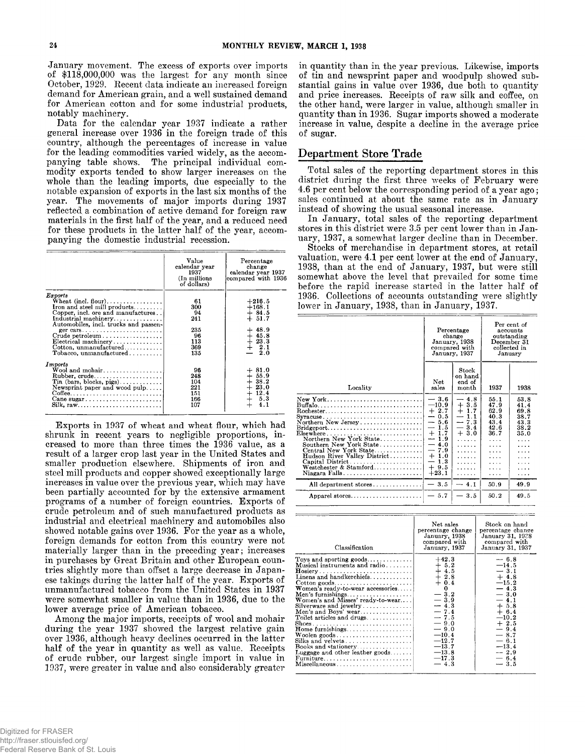January movement. The excess of exports over imports<br>of \$118,000,000 was the largest for any month since<br>October, 1929. Recent data indicate an increased foreign<br>demand for American grain, and a well sustained demand<br>for A

Data for the calendar year 1937 indicate a rather<br>general increase over 1936 in the foreign trade of this<br>country, although the percentages of increase in value<br>for the leading commodities varied widely, as the accom-<br>pany

|                                                                                                                                                                                 | Value<br>calendar year<br>1937<br>(In millions)<br>of dollars) | Percentage<br>change<br>calendar year 1937<br>compared with 1936      |
|---------------------------------------------------------------------------------------------------------------------------------------------------------------------------------|----------------------------------------------------------------|-----------------------------------------------------------------------|
| Exports<br>$\text{Wheat}$ (incl. flour)<br>Iron and steel mill products<br>Copper, incl. ore and manufactures<br>Industrial machinery <br>Automobiles, incl. trucks and passen- | 61<br>300<br>94<br>241                                         | $+216.5$<br>$+168.1$<br>$+84.5$<br>$+51.7$                            |
| Crude petroleum<br>Electrical machinery<br>Cotton, unmanufactured<br>$\text{Tobacco, unmanufactured}$                                                                           | 235<br>96<br>113<br>369<br>135                                 | $+48.9$<br>$+45.8$<br>$+23.3$<br>$+2.1$<br>$-2.0$                     |
| Imports<br>Wool and mohair<br>$Rubber, crude \ldots \ldots \ldots \ldots$<br>Tin (bars, blocks, pigs)<br>Newsprint paper and wood pulp<br>Cane sugar                            | 96<br>248<br>104<br>221<br>151<br>166<br>107                   | $+81.0$<br>$+55.9$<br>$+38.2$<br>$+23.0$<br>$+12.4$<br>$+ 5.3$<br>4.1 |

Exports in 1937 of wheat and wheat flour, which had<br>shrunk in recent years to negligible proportions, in-<br>creased to more than three times the 1936 value, as a<br>result of a larger crop last year in the United States and<br>sma industrial and electrical machinery and automobiles also showed notable gains over 1936. For the year as a whole, foreign demands for cotton from this country were not materially larger than in the preceding year; increases in purchases by Great Britain and other European countries slightly more than offset a large decrease in Japan-

ese takings during the latter half of the year. Exports of<br>unmanufactured tobacco from the United States in 1937<br>were somewhat smaller in value than in 1936, due to the<br>lower average price of American tobacco.<br>Among the ma

in quantity than in the year previous. Likewise, imports<br>of tin and newsprint paper and woodpulp showed sub-<br>stantial gains in value over 1936, due both to quantity<br>and price increases. Receipts of raw silk and coffee, on<br>

## Department Store Trade

Total sales of the reporting department stores in this<br>district during the first three weeks of February were<br>4.6 per cent below the corresponding period of a year ago;<br>sales continued at about the same rate as in January<br> before the rapid increase started in the latter half of 1936. Collections of accounts outstanding were slightly lower in January, 1938, than in January, 1937.

|                                                                                                                                                                                                                                                                                                           | Percentage<br>change<br>January, 1938<br>compared with<br>January, 1937                                                                                                                                                           |                                                                                                                 | Per cent of<br>accounts<br>outstanding<br>December 31<br>collected in<br>January |                                                           |
|-----------------------------------------------------------------------------------------------------------------------------------------------------------------------------------------------------------------------------------------------------------------------------------------------------------|-----------------------------------------------------------------------------------------------------------------------------------------------------------------------------------------------------------------------------------|-----------------------------------------------------------------------------------------------------------------|----------------------------------------------------------------------------------|-----------------------------------------------------------|
| Locality                                                                                                                                                                                                                                                                                                  | Net<br>sales                                                                                                                                                                                                                      | Stock<br>on hand<br>end of<br>month                                                                             | 1937                                                                             | 1938                                                      |
| Buffalo,,<br>Northern New Jersey<br>$\text{Bridgeport} \dots \dots \dots \dots \dots \dots \dots \dots \dots$<br>Elsewhere<br>Northern New York State<br>Southern New York State<br>Central New York State<br>Hudson River Valley District<br>Capital District<br>Westchester & Stamford<br>Niagara Falls | $-3.6$<br>$-10.9$<br>$+2.7$<br>$-0.5$<br>-<br>5.6<br>1.5<br>$\overline{\phantom{0}}$<br>1.7<br>$+$<br>1.9<br>$\overline{\phantom{a}}$<br>$\overbrace{\phantom{13333}}$<br>4.0<br>$-7.9$<br>1.0<br>$+$<br>1.3<br>$+9.5$<br>$+23.1$ | $-4.8$<br>$+3.5$<br>$+1.7$<br>$\overline{\phantom{0}}$<br>1.1<br>$-7.3$<br>$-3.4$<br>$+3.0$<br>.<br>.<br>.<br>. | 55.1<br>47.9<br>62.9<br>40.3<br>43.4<br>42.6<br>36.7<br>.<br>.<br>.<br>.         | 53.8<br>41.4<br>69.8<br>38.7<br>43.3<br>38.2<br>35.0<br>. |
| All department stores                                                                                                                                                                                                                                                                                     | 3.5                                                                                                                                                                                                                               | $-4.1$                                                                                                          | 50.9                                                                             | 49.9                                                      |
| Apparel stores                                                                                                                                                                                                                                                                                            | $-5.7$                                                                                                                                                                                                                            | 3.5                                                                                                             | 50.2                                                                             | 49.5                                                      |

| Classification                                                                                                                                                                                                                                                                                                                                                                       | Net sales<br>percentage change<br>January. 1938<br>compared with<br>January, 1937                                                                                                            | Stock on hand<br>percentage change<br>January 31, 1928<br>compared with<br>January 31, 1937                                                                                                     |
|--------------------------------------------------------------------------------------------------------------------------------------------------------------------------------------------------------------------------------------------------------------------------------------------------------------------------------------------------------------------------------------|----------------------------------------------------------------------------------------------------------------------------------------------------------------------------------------------|-------------------------------------------------------------------------------------------------------------------------------------------------------------------------------------------------|
| Toys and sporting goods<br>Musical instruments and radio<br>Linens and handkerchiefs<br>$Cotton$ goods<br>Women's ready-to-wear accessories<br>Women's and Misses' ready-to-wear<br>Silverware and jewelry<br>Men's and Boys' wear<br>Toilet articles and drugs<br>Home furnishings<br>Silks and velvets<br>Books and stationery<br>Luggage and other leather goods<br>Miscellaneous | $+42.3$<br>$+ 5.2$<br>$+4.5$<br>$+2.8$<br>$+0.4$<br>0<br>$-3.2$<br>$-3.9$<br>$-4.3$<br>$-7.4$<br>$-7.5$<br>$-9.0$<br>$-9.0$<br>$-10.4$<br>$-12.7$<br>$-13.7$<br>$-13.8$<br>$-17.3$<br>$-4.3$ | $-6.8$<br>$-14.5$<br>$-3.1$<br>$+4.8$<br>$-15.2$<br>$-4.3$<br>$-3.0$<br>$-4.1$<br>$+5.8$<br>$+ 6.4$<br>$-10.2$<br>$+2.5$<br>$-9.4$<br>$-8.7$<br>$-6.1$<br>$-13.4$<br>$-2.9$<br>$-6.4$<br>$-3.5$ |